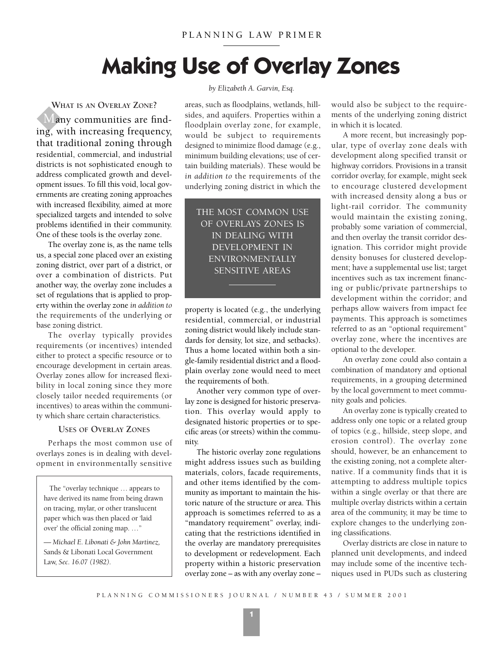# **Making Use of Overlay Zones**

**WHAT IS AN OVERLAY ZONE?** Many communities are finding, with increasing frequency, that traditional zoning through residential, commercial, and industrial districts is not sophisticated enough to address complicated growth and development issues. To fill this void, local governments are creating zoning approaches with increased flexibility, aimed at more specialized targets and intended to solve problems identified in their community. One of these tools is the overlay zone.

The overlay zone is, as the name tells us, a special zone placed over an existing zoning district, over part of a district, or over a combination of districts. Put another way, the overlay zone includes a set of regulations that is applied to property within the overlay zone *in addition to* the requirements of the underlying or base zoning district.

The overlay typically provides requirements (or incentives) intended either to protect a specific resource or to encourage development in certain areas. Overlay zones allow for increased flexibility in local zoning since they more closely tailor needed requirements (or incentives) to areas within the community which share certain characteristics.

## **USES OF OVERLAY ZONES**

Perhaps the most common use of overlays zones is in dealing with development in environmentally sensitive

The "overlay technique … appears to have derived its name from being drawn on tracing, mylar, or other translucent paper which was then placed or 'laid over' the official zoning map. …"

*— Michael E. Libonati & John Martinez,* Sands & Libonati Local Government Law, *Sec. 16.07 (1982).*

### *by Elizabeth A. Garvin, Esq.*

areas, such as floodplains, wetlands, hillsides, and aquifers. Properties within a floodplain overlay zone, for example, would be subject to requirements designed to minimize flood damage (e.g., minimum building elevations; use of certain building materials). These would be *in addition to* the requirements of the underlying zoning district in which the

THE MOST COMMON USE OF OVERLAYS ZONES IS IN DEALING WITH DEVELOPMENT IN ENVIRONMENTALLY SENSITIVE AREAS

property is located (e.g., the underlying residential, commercial, or industrial zoning district would likely include standards for density, lot size, and setbacks). Thus a home located within both a single-family residential district and a floodplain overlay zone would need to meet the requirements of both.

Another very common type of overlay zone is designed for historic preservation. This overlay would apply to designated historic properties or to specific areas (or streets) within the community.

The historic overlay zone regulations might address issues such as building materials, colors, facade requirements, and other items identified by the community as important to maintain the historic nature of the structure or area. This approach is sometimes referred to as a "mandatory requirement" overlay, indicating that the restrictions identified in the overlay are mandatory prerequisites to development or redevelopment. Each property within a historic preservation overlay zone – as with any overlay zone –

would also be subject to the requirements of the underlying zoning district in which it is located.

A more recent, but increasingly popular, type of overlay zone deals with development along specified transit or highway corridors. Provisions in a transit corridor overlay, for example, might seek to encourage clustered development with increased density along a bus or light-rail corridor. The community would maintain the existing zoning, probably some variation of commercial, and then overlay the transit corridor designation. This corridor might provide density bonuses for clustered development; have a supplemental use list; target incentives such as tax increment financing or public/private partnerships to development within the corridor; and perhaps allow waivers from impact fee payments. This approach is sometimes referred to as an "optional requirement" overlay zone, where the incentives are optional to the developer.

An overlay zone could also contain a combination of mandatory and optional requirements, in a grouping determined by the local government to meet community goals and policies.

An overlay zone is typically created to address only one topic or a related group of topics (e.g., hillside, steep slope, and erosion control). The overlay zone should, however, be an enhancement to the existing zoning, not a complete alternative. If a community finds that it is attempting to address multiple topics within a single overlay or that there are multiple overlay districts within a certain area of the community, it may be time to explore changes to the underlying zoning classifications.

Overlay districts are close in nature to planned unit developments, and indeed may include some of the incentive techniques used in PUDs such as clustering